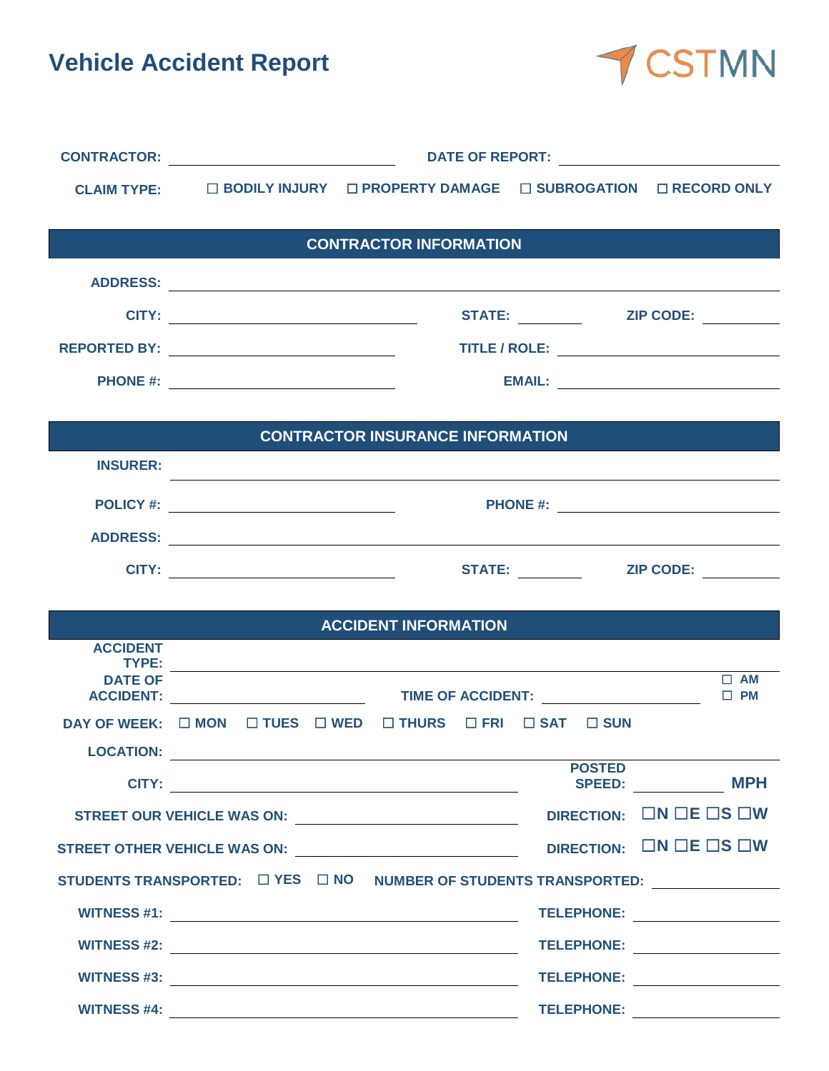**Vehicle Accident Report** 



| <b>CLAIM TYPE:</b>       |                                                                                                                                                                                                                                     | □ BODILY INJURY □ PROPERTY DAMAGE □ SUBROGATION □ RECORD ONLY                                                                                                                                                                        |               |                                          |  |  |
|--------------------------|-------------------------------------------------------------------------------------------------------------------------------------------------------------------------------------------------------------------------------------|--------------------------------------------------------------------------------------------------------------------------------------------------------------------------------------------------------------------------------------|---------------|------------------------------------------|--|--|
|                          |                                                                                                                                                                                                                                     |                                                                                                                                                                                                                                      |               |                                          |  |  |
|                          |                                                                                                                                                                                                                                     | <b>CONTRACTOR INFORMATION</b>                                                                                                                                                                                                        |               |                                          |  |  |
|                          |                                                                                                                                                                                                                                     |                                                                                                                                                                                                                                      |               |                                          |  |  |
|                          |                                                                                                                                                                                                                                     |                                                                                                                                                                                                                                      |               | STATE: ___________  ZIP CODE: __________ |  |  |
|                          |                                                                                                                                                                                                                                     |                                                                                                                                                                                                                                      |               |                                          |  |  |
|                          |                                                                                                                                                                                                                                     |                                                                                                                                                                                                                                      |               |                                          |  |  |
|                          |                                                                                                                                                                                                                                     |                                                                                                                                                                                                                                      |               |                                          |  |  |
|                          |                                                                                                                                                                                                                                     | <b>CONTRACTOR INSURANCE INFORMATION</b>                                                                                                                                                                                              |               |                                          |  |  |
| <b>INSURER:</b>          |                                                                                                                                                                                                                                     |                                                                                                                                                                                                                                      |               |                                          |  |  |
|                          | <b>POLICY #:</b> Note that the state of the state of the state of the state of the state of the state of the state of the state of the state of the state of the state of the state of the state of the state of the state of the s |                                                                                                                                                                                                                                      |               |                                          |  |  |
|                          |                                                                                                                                                                                                                                     |                                                                                                                                                                                                                                      |               |                                          |  |  |
|                          |                                                                                                                                                                                                                                     |                                                                                                                                                                                                                                      |               |                                          |  |  |
|                          |                                                                                                                                                                                                                                     |                                                                                                                                                                                                                                      |               |                                          |  |  |
|                          |                                                                                                                                                                                                                                     | <b>ACCIDENT INFORMATION</b>                                                                                                                                                                                                          |               |                                          |  |  |
| <b>ACCIDENT</b><br>TYPE: |                                                                                                                                                                                                                                     |                                                                                                                                                                                                                                      |               |                                          |  |  |
| <b>DATE OF</b>           |                                                                                                                                                                                                                                     | <u> 1989 - Johann Stoff, deutscher Stoffen und der Stoffen und der Stoffen und der Stoffen und der Stoffen und de</u>                                                                                                                |               | $\Box$ AM<br>$\Box$ PM                   |  |  |
|                          |                                                                                                                                                                                                                                     | DAY OF WEEK: □ MON □ TUES □ WED □ THURS □ FRI □ SAT □ SUN                                                                                                                                                                            |               |                                          |  |  |
| <b>LOCATION:</b>         |                                                                                                                                                                                                                                     | <u>and the control of the control of the control of the control of the control of the control of the control of the control of the control of the control of the control of the control of the control of the control of the con</u> |               |                                          |  |  |
|                          |                                                                                                                                                                                                                                     |                                                                                                                                                                                                                                      | <b>POSTED</b> | SPEED: MPH                               |  |  |
|                          |                                                                                                                                                                                                                                     |                                                                                                                                                                                                                                      |               | DIRECTION: ON OE OS OW                   |  |  |
|                          |                                                                                                                                                                                                                                     |                                                                                                                                                                                                                                      |               | DIRECTION: ON DE OS OW                   |  |  |
|                          |                                                                                                                                                                                                                                     | STUDENTS TRANSPORTED: □ YES □ NO NUMBER OF STUDENTS TRANSPORTED: _______________                                                                                                                                                     |               |                                          |  |  |
|                          |                                                                                                                                                                                                                                     |                                                                                                                                                                                                                                      |               | TELEPHONE: _________________             |  |  |
|                          |                                                                                                                                                                                                                                     |                                                                                                                                                                                                                                      |               | TELEPHONE: ___________________           |  |  |
|                          |                                                                                                                                                                                                                                     |                                                                                                                                                                                                                                      |               | TELEPHONE: ___________________           |  |  |
|                          |                                                                                                                                                                                                                                     |                                                                                                                                                                                                                                      |               | TELEPHONE: ___________________           |  |  |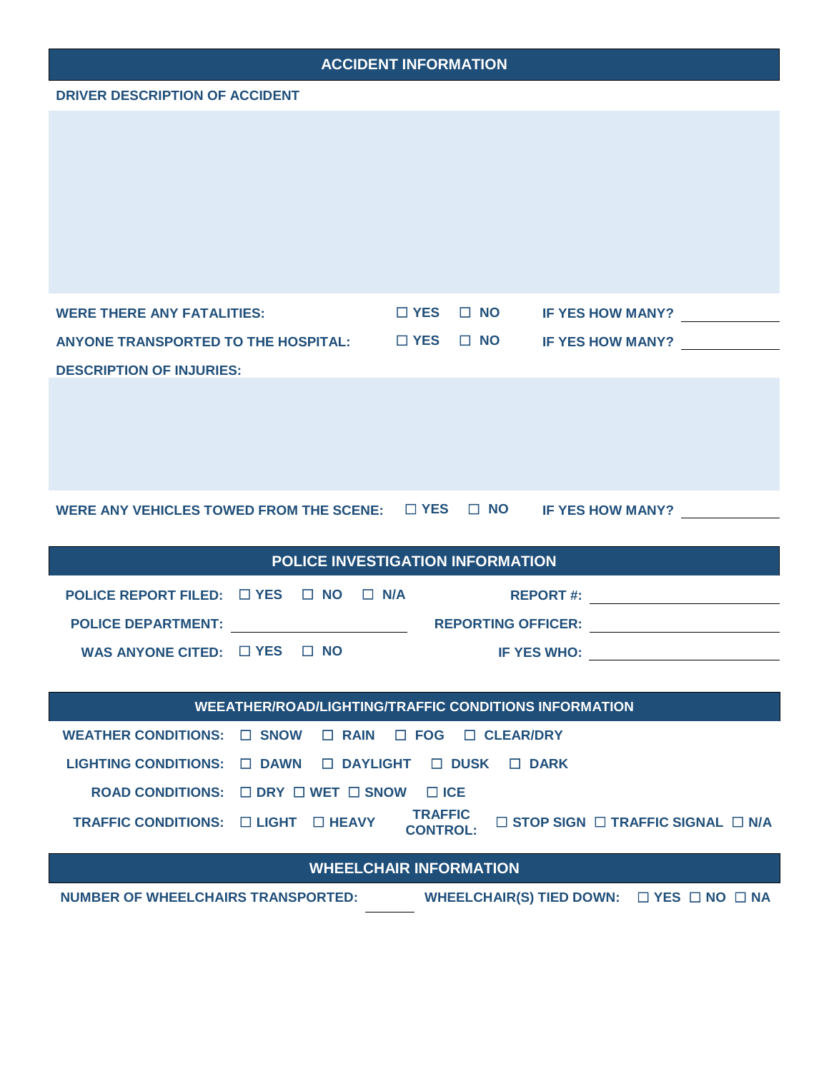### **ACCIDENT INFORMATION**

#### **DRIVER DESCRIPTION OF ACCIDENT**

| <b>WERE THERE ANY FATALITIES:</b>                                             | $\square$ YES $\square$ NO IF YES HOW MANY?                                                                                                                                                                                        |  |
|-------------------------------------------------------------------------------|------------------------------------------------------------------------------------------------------------------------------------------------------------------------------------------------------------------------------------|--|
| ANYONE TRANSPORTED TO THE HOSPITAL: □ YES □ NO IF YES HOW MANY?               |                                                                                                                                                                                                                                    |  |
| <b>DESCRIPTION OF INJURIES:</b>                                               |                                                                                                                                                                                                                                    |  |
|                                                                               |                                                                                                                                                                                                                                    |  |
| WERE ANY VEHICLES TOWED FROM THE SCENE: $\Box$ YES $\Box$ NO IF YES HOW MANY? |                                                                                                                                                                                                                                    |  |
|                                                                               |                                                                                                                                                                                                                                    |  |
| POLICE INVESTIGATION INFORMATION                                              |                                                                                                                                                                                                                                    |  |
| POLICE REPORT FILED: $\Box$ YES $\Box$ NO $\Box$ N/A                          |                                                                                                                                                                                                                                    |  |
| POLICE DEPARTMENT: _________________________                                  |                                                                                                                                                                                                                                    |  |
| WAS ANYONE CITED: $\Box$ YES $\Box$ NO                                        | <b>IF YES WHO:</b> The state of the state of the state of the state of the state of the state of the state of the state of the state of the state of the state of the state of the state of the state of the state of the state of |  |

| WEEATHER/ROAD/LIGHTING/TRAFFIC CONDITIONS INFORMATION                    |  |  |                                   |                                                   |  |  |
|--------------------------------------------------------------------------|--|--|-----------------------------------|---------------------------------------------------|--|--|
| WEATHER CONDITIONS: $\Box$ SNOW $\Box$ RAIN $\Box$ FOG $\Box$ CLEAR/DRY  |  |  |                                   |                                                   |  |  |
| LIGHTING CONDITIONS: $\Box$ DAWN $\Box$ DAYLIGHT $\Box$ DUSK $\Box$ DARK |  |  |                                   |                                                   |  |  |
| ROAD CONDITIONS: $\Box$ DRY $\Box$ WET $\Box$ SNOW                       |  |  | ⊟ ICE                             |                                                   |  |  |
| TRAFFIC CONDITIONS: □ LIGHT □ HEAVY                                      |  |  | <b>TRAFFIC</b><br><b>CONTROL:</b> | $\Box$ STOP SIGN $\Box$ TRAFFIC SIGNAL $\Box$ N/A |  |  |
| <b>MULLI CUAID INLODMATION</b>                                           |  |  |                                   |                                                   |  |  |

### **WHEELCHAIR INFORMATION**

**NUMBER OF WHEELCHAIRS TRANSPORTED: WHEELCHAIR(S) TIED DOWN:** ☐ **YES** ☐ **NO** ☐ **NA**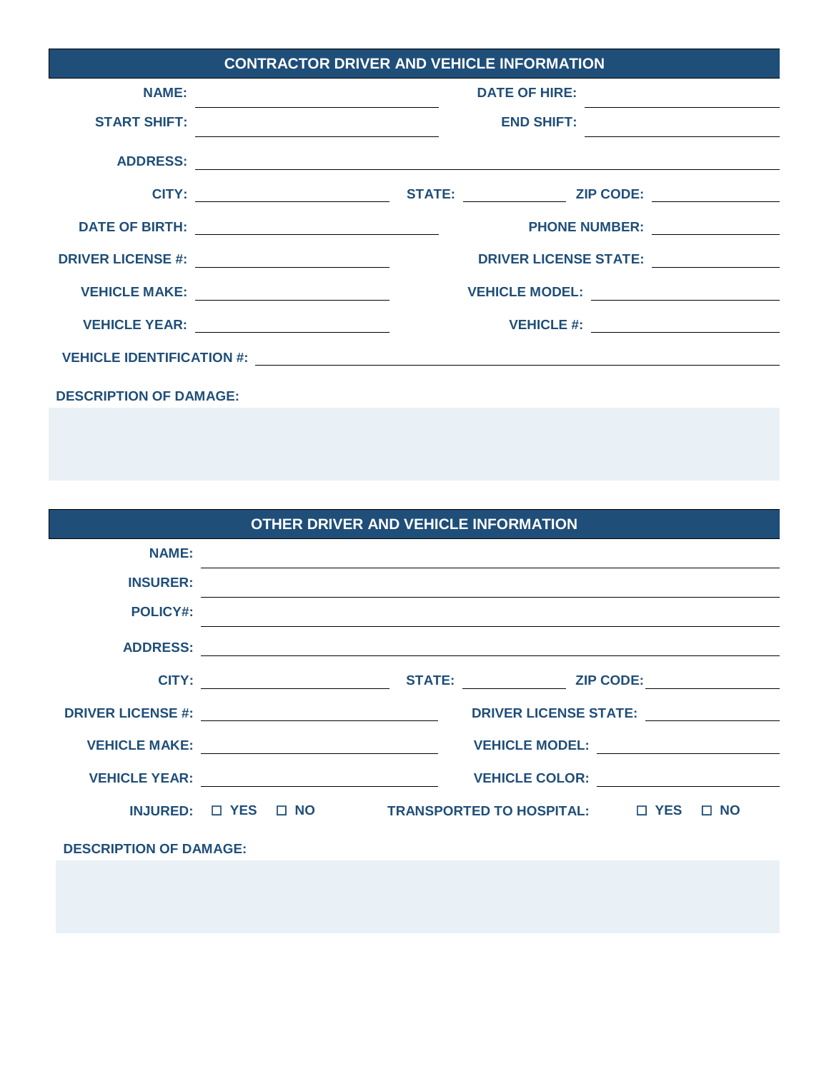| <b>CONTRACTOR DRIVER AND VEHICLE INFORMATION</b> |                                                                                                                                                                     |  |  |  |  |  |
|--------------------------------------------------|---------------------------------------------------------------------------------------------------------------------------------------------------------------------|--|--|--|--|--|
| <b>NAME:</b>                                     | <b>DATE OF HIRE:</b>                                                                                                                                                |  |  |  |  |  |
| <b>START SHIFT:</b>                              | <b>END SHIFT:</b><br><u> 1989 - Johann Barn, mars ann an t-Amhain an t-Amhain an t-Amhain an t-Amhain an t-Amhain an t-Amhain an t-Amh</u>                          |  |  |  |  |  |
| <b>ADDRESS:</b>                                  | <u> 1989 - Andrea Stadt Britain, amerikansk politik (d. 1989)</u>                                                                                                   |  |  |  |  |  |
|                                                  |                                                                                                                                                                     |  |  |  |  |  |
|                                                  | DATE OF BIRTH: __________________________________<br>PHONE NUMBER: The Management of the Management of the Management of the Management of the Management of the Ma |  |  |  |  |  |
|                                                  | DRIVER LICENSE STATE: <u>__________</u><br>DRIVER LICENSE #: ___________________________                                                                            |  |  |  |  |  |
|                                                  | VEHICLE MAKE: ___________________________<br>VEHICLE MODEL:                                                                                                         |  |  |  |  |  |
|                                                  | VEHICLE YEAR: Network and YEHICLE YEAR:                                                                                                                             |  |  |  |  |  |
|                                                  |                                                                                                                                                                     |  |  |  |  |  |
| <b>DESCRIPTION OF DAMAGE:</b>                    |                                                                                                                                                                     |  |  |  |  |  |

|                                                                                                                                                                                                                                |                               |  |  | <b>OTHER DRIVER AND VEHICLE INFORMATION</b>                                      |  |  |
|--------------------------------------------------------------------------------------------------------------------------------------------------------------------------------------------------------------------------------|-------------------------------|--|--|----------------------------------------------------------------------------------|--|--|
| <b>NAME:</b>                                                                                                                                                                                                                   |                               |  |  |                                                                                  |  |  |
| <b>INSURER:</b>                                                                                                                                                                                                                |                               |  |  |                                                                                  |  |  |
| <b>POLICY#:</b>                                                                                                                                                                                                                |                               |  |  | ,我们也不会有什么。""我们的人,我们也不会有什么?""我们的人,我们也不会有什么?""我们的人,我们也不会有什么?""我们的人,我们也不会有什么?""我们的人 |  |  |
|                                                                                                                                                                                                                                |                               |  |  |                                                                                  |  |  |
|                                                                                                                                                                                                                                |                               |  |  | <b>CITY:</b> CITY: STATE: ZIP CODE:                                              |  |  |
| DRIVER LICENSE #: New York State State State State State State State State State State State State State State State State State State State State State State State State State State State State State State State State Sta |                               |  |  | DRIVER LICENSE STATE:                                                            |  |  |
| VEHICLE MAKE: WebState State State State State State State State State State State State State State State State State State State State State State State State State State State State State State State State State State S |                               |  |  |                                                                                  |  |  |
|                                                                                                                                                                                                                                |                               |  |  | VEHICLE YEAR: VEHICLE COLOR:                                                     |  |  |
|                                                                                                                                                                                                                                |                               |  |  | INJURED: □ YES □ NO TRANSPORTED TO HOSPITAL: □ YES □ NO                          |  |  |
|                                                                                                                                                                                                                                | <b>DESCRIPTION OF DAMAGE:</b> |  |  |                                                                                  |  |  |
|                                                                                                                                                                                                                                |                               |  |  |                                                                                  |  |  |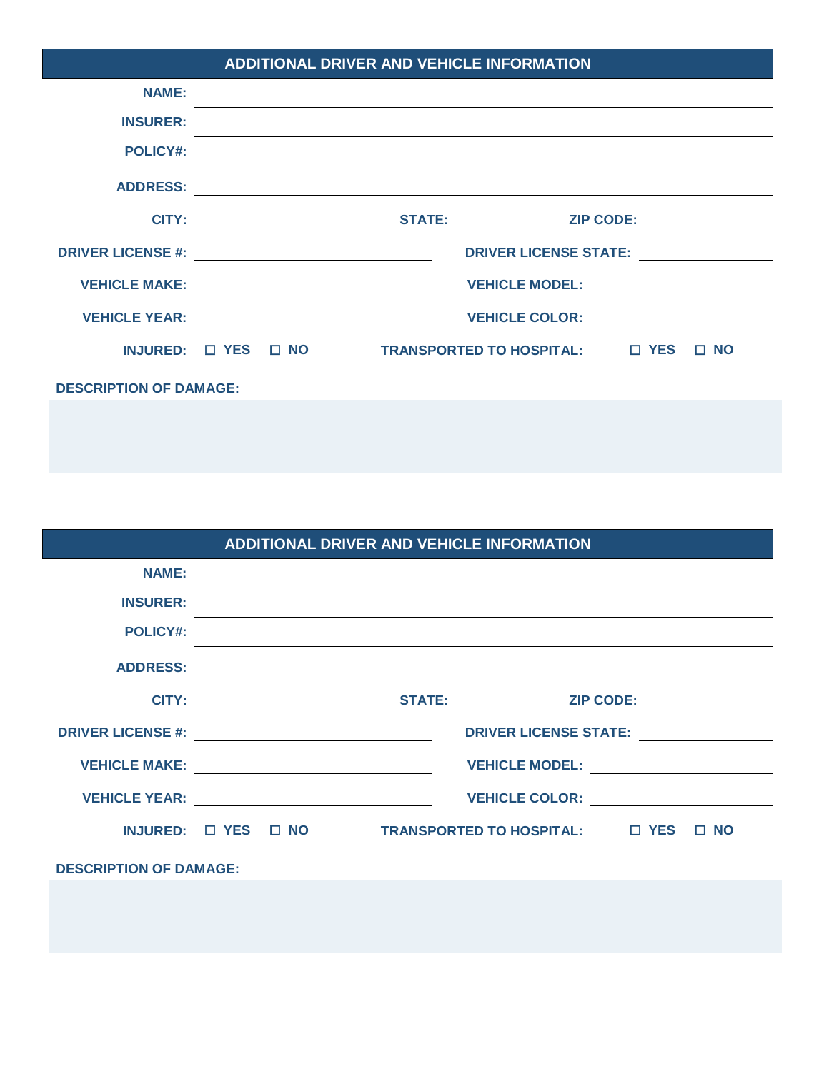| <b>ADDITIONAL DRIVER AND VEHICLE INFORMATION</b> |  |                                                                                                                                                                                                                                |                                             |  |  |
|--------------------------------------------------|--|--------------------------------------------------------------------------------------------------------------------------------------------------------------------------------------------------------------------------------|---------------------------------------------|--|--|
| <b>NAME:</b>                                     |  |                                                                                                                                                                                                                                |                                             |  |  |
| <b>INSURER:</b>                                  |  |                                                                                                                                                                                                                                |                                             |  |  |
| <b>POLICY#:</b>                                  |  |                                                                                                                                                                                                                                |                                             |  |  |
|                                                  |  | ADDRESS: New York Contract the Contract of the Contract of the Contract of the Contract of the Contract of the Contract of the Contract of the Contract of the Contract of the Contract of the Contract of the Contract of the |                                             |  |  |
|                                                  |  | <b>CITY:</b> STATE: ZIP CODE:                                                                                                                                                                                                  |                                             |  |  |
|                                                  |  |                                                                                                                                                                                                                                | DRIVER LICENSE STATE:                       |  |  |
|                                                  |  | <b>VEHICLE MAKE:</b> __________________________________                                                                                                                                                                        | VEHICLE MODEL: <u>___________________</u>   |  |  |
|                                                  |  | VEHICLE YEAR: VEHICLE YEAR:                                                                                                                                                                                                    | VEHICLE COLOR: <u>_____________________</u> |  |  |
|                                                  |  | INJURED: □ YES □ NO TRANSPORTED TO HOSPITAL: □ YES □ NO                                                                                                                                                                        |                                             |  |  |
| <b>DESCRIPTION OF DAMAGE:</b>                    |  |                                                                                                                                                                                                                                |                                             |  |  |
|                                                  |  |                                                                                                                                                                                                                                |                                             |  |  |

| <b>ADDITIONAL DRIVER AND VEHICLE INFORMATION</b>                                                                                                                                                                               |  |  |  |                                                                                                                                                                                                                               |  |  |
|--------------------------------------------------------------------------------------------------------------------------------------------------------------------------------------------------------------------------------|--|--|--|-------------------------------------------------------------------------------------------------------------------------------------------------------------------------------------------------------------------------------|--|--|
| <b>NAME:</b>                                                                                                                                                                                                                   |  |  |  |                                                                                                                                                                                                                               |  |  |
| <b>INSURER:</b>                                                                                                                                                                                                                |  |  |  |                                                                                                                                                                                                                               |  |  |
| <b>POLICY#:</b>                                                                                                                                                                                                                |  |  |  |                                                                                                                                                                                                                               |  |  |
| <b>ADDRESS:</b>                                                                                                                                                                                                                |  |  |  |                                                                                                                                                                                                                               |  |  |
|                                                                                                                                                                                                                                |  |  |  | <b>CITY:</b> STATE: ZIP CODE:                                                                                                                                                                                                 |  |  |
| DRIVER LICENSE #: New York 2014 1999 1999                                                                                                                                                                                      |  |  |  | DRIVER LICENSE STATE: Production of the state of the state of the state of the state of the state of the state of the state of the state of the state of the state of the state of the state of the state of the state of the |  |  |
| VEHICLE MAKE: NAKE: NAKE: NAME AND A SERIES OF STREET AND A SERIES OF STREET AND A SERIES OF STREET AND A SERIES OF STREET AND A SERIES OF STREET AND A SERIES OF STREET AND A SERIES OF STREET AND A SERIES OF STREET AND A S |  |  |  | VEHICLE MODEL: <u>________________</u>                                                                                                                                                                                        |  |  |
| <b>VEHICLE YEAR:</b>                                                                                                                                                                                                           |  |  |  | VEHICLE COLOR: <u>________________</u>                                                                                                                                                                                        |  |  |
|                                                                                                                                                                                                                                |  |  |  | INJURED: □ YES □ NO TRANSPORTED TO HOSPITAL: □ YES □ NO                                                                                                                                                                       |  |  |
| <b>DESCRIPTION OF DAMAGE:</b>                                                                                                                                                                                                  |  |  |  |                                                                                                                                                                                                                               |  |  |
|                                                                                                                                                                                                                                |  |  |  |                                                                                                                                                                                                                               |  |  |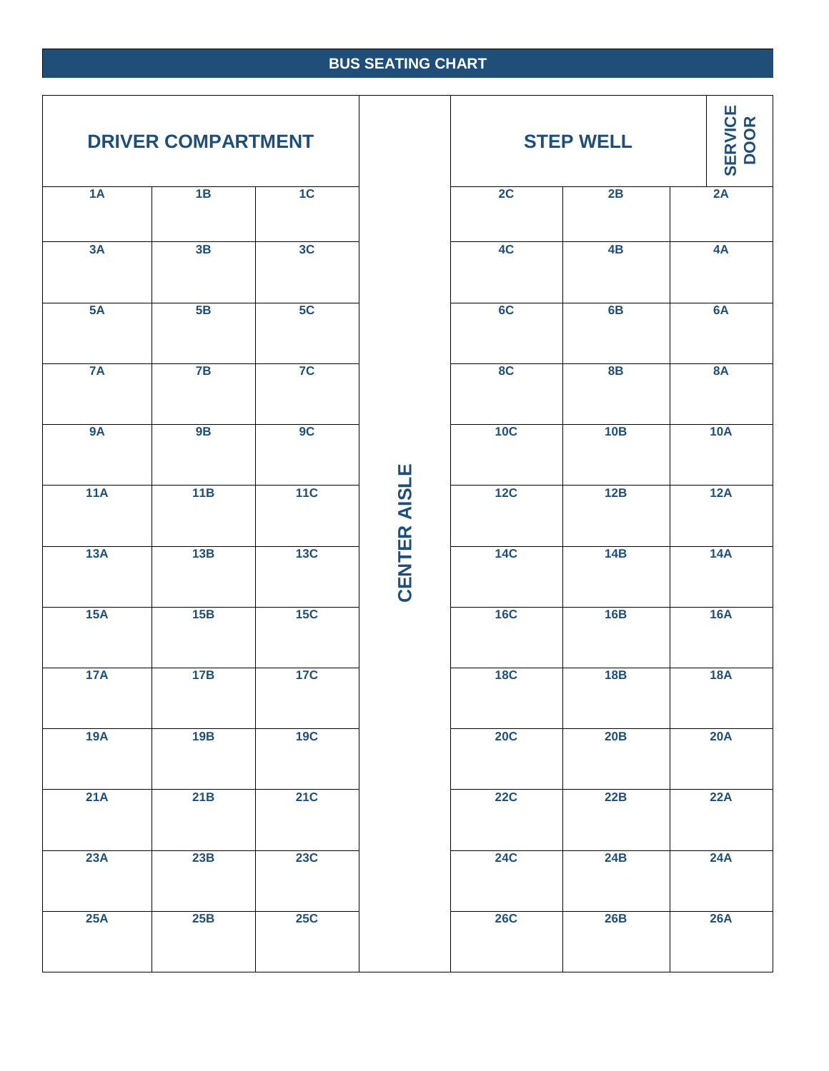## **BUS SEATING CHART**

| <b>DRIVER COMPARTMENT</b> |     |                |  |  |  |  |
|---------------------------|-----|----------------|--|--|--|--|
| 1A                        | 1B  | 1C             |  |  |  |  |
| 3A                        | 3B  | 3C             |  |  |  |  |
| 5A                        | 5B  | 5C             |  |  |  |  |
| <b>7A</b>                 | 7B  | 7 <sup>C</sup> |  |  |  |  |
| <b>9A</b>                 | 9B  | 9 <sup>C</sup> |  |  |  |  |
| 11A                       | 11B | 11C            |  |  |  |  |
| 13A                       | 13B | 13C            |  |  |  |  |
| 15A                       | 15B | 15C            |  |  |  |  |
| 17A                       | 17B | <b>17C</b>     |  |  |  |  |
| 19A                       | 19B | <b>19C</b>     |  |  |  |  |
| 21A                       | 21B | <b>21C</b>     |  |  |  |  |
| 23A                       | 23B | <b>23C</b>     |  |  |  |  |
| 25A                       | 25B | 25C            |  |  |  |  |

 $\vert$ 

|                  | <b>DRIVER COMPARTMENT</b> |            |                     |            | <b>STEP WELL</b> | <b>SERVICE</b><br>DOOR |
|------------------|---------------------------|------------|---------------------|------------|------------------|------------------------|
| 1A               | 1B                        | 1C         |                     | 2C         | 2B               | 2A                     |
| 3A               | 3B                        | 3C         |                     | 4C         | 4B               | 4A                     |
| 5A               | 5B                        | 5C         |                     | 6C         | 6B               | 6A                     |
| 7A               | 7B                        | 7C         |                     | 8C         | 8B               | <b>8A</b>              |
| <b>9A</b>        | <b>9B</b>                 | 9C         |                     | 10C        | 10B              | 10A                    |
| 11A              | 11B                       | 11C        | <b>CENTER AISLE</b> | 12C        | 12B              | 12A                    |
| 13A              | 13B                       | 13C        |                     | <b>14C</b> | 14B              | 14A                    |
| 15A              | 15B                       | 15C        |                     | <b>16C</b> | 16B              | 16A                    |
| 17A              | 17B                       | <b>17C</b> |                     | <b>18C</b> | 18B              | <b>18A</b>             |
| <b>19A</b>       | 19B                       | 19C        |                     | 20C        | 20B              | 20A                    |
| $\overline{21A}$ | 21B                       | 21C        |                     | <b>22C</b> | 22B              | 22A                    |
| 23A              | 23B                       | 23C        |                     | <b>24C</b> | 24B              | <b>24A</b>             |
| 25A              | 25B                       | 25C        |                     | <b>26C</b> | 26B              | <b>26A</b>             |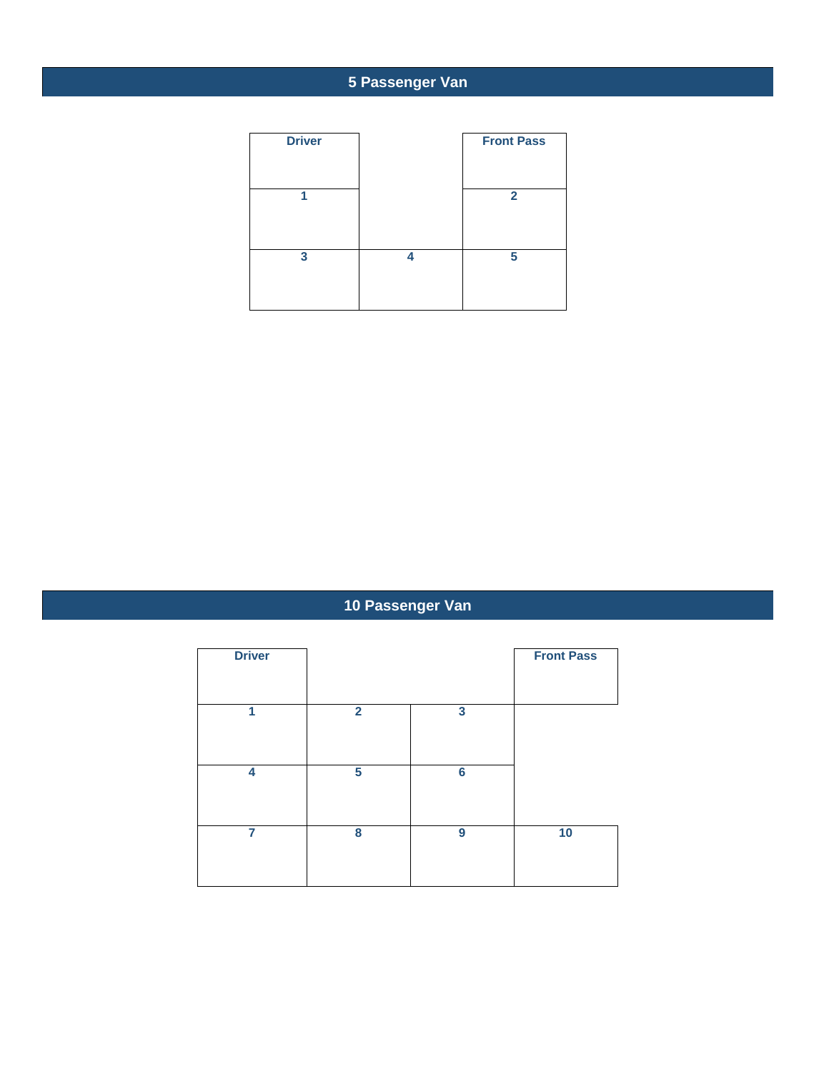# **5 Passenger Van**

| <b>Driver</b> |   | <b>Front Pass</b> |
|---------------|---|-------------------|
|               |   | $\mathbf{2}$      |
| 3             | л | 5                 |

# **10 Passenger Van**

| <b>Driver</b>  |              |                 | <b>Front Pass</b> |
|----------------|--------------|-----------------|-------------------|
| 1              | $\mathbf{2}$ | 3               |                   |
| 4              | 5            | $6\phantom{1}6$ |                   |
| $\overline{7}$ | 8            | 9               | 10                |